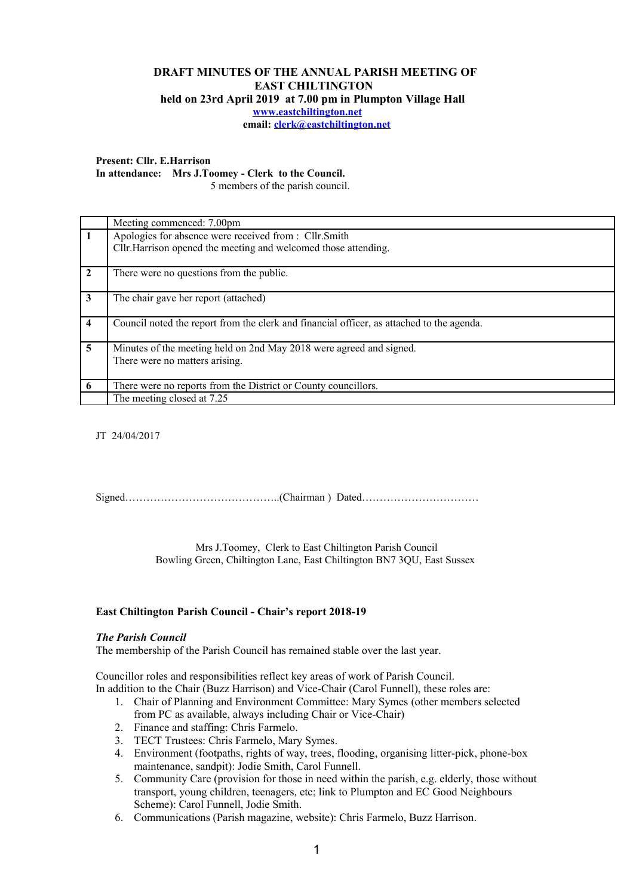## **DRAFT MINUTES OF THE ANNUAL PARISH MEETING OF EAST CHILTINGTON held on 23rd April 2019 at 7.00 pm in Plumpton Village Hall [www.eastchiltington.net](http://www.eastchiltington.net/)**

**email: [clerk@eastchiltington.net](mailto:clerk@eastchiltington.net)**

#### **Present: Cllr. E.Harrison**

**In attendance: Mrs J.Toomey - Clerk to the Council.** 

5 members of the parish council.

|              | Meeting commenced: 7.00pm                                                                 |
|--------------|-------------------------------------------------------------------------------------------|
|              | Apologies for absence were received from : Cllr.Smith                                     |
|              | Cllr. Harrison opened the meeting and welcomed those attending.                           |
| $\mathbf{2}$ | There were no questions from the public.                                                  |
| 3            | The chair gave her report (attached)                                                      |
| 4            | Council noted the report from the clerk and financial officer, as attached to the agenda. |
| 5            | Minutes of the meeting held on 2nd May 2018 were agreed and signed.                       |
|              | There were no matters arising.                                                            |
|              |                                                                                           |
| 6            | There were no reports from the District or County councillors.                            |
|              | The meeting closed at 7.25                                                                |

JT 24/04/2017

Signed……………………………………..(Chairman ) Dated……………………………

Mrs J.Toomey, Clerk to East Chiltington Parish Council Bowling Green, Chiltington Lane, East Chiltington BN7 3QU, East Sussex

### **East Chiltington Parish Council - Chair's report 2018-19**

### *The Parish Council*

The membership of the Parish Council has remained stable over the last year.

Councillor roles and responsibilities reflect key areas of work of Parish Council. In addition to the Chair (Buzz Harrison) and Vice-Chair (Carol Funnell), these roles are:

- 1. Chair of Planning and Environment Committee: Mary Symes (other members selected from PC as available, always including Chair or Vice-Chair)
- 2. Finance and staffing: Chris Farmelo.
- 3. TECT Trustees: Chris Farmelo, Mary Symes.
- 4. Environment (footpaths, rights of way, trees, flooding, organising litter-pick, phone-box maintenance, sandpit): Jodie Smith, Carol Funnell.
- 5. Community Care (provision for those in need within the parish, e.g. elderly, those without transport, young children, teenagers, etc; link to Plumpton and EC Good Neighbours Scheme): Carol Funnell, Jodie Smith.
- 6. Communications (Parish magazine, website): Chris Farmelo, Buzz Harrison.